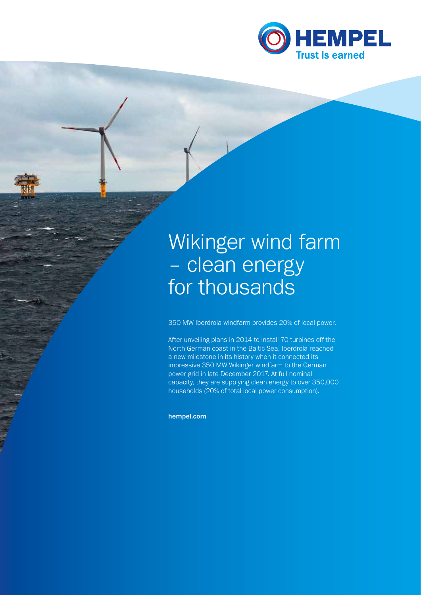

# Wikinger wind farm – clean energy for thousands

350 MW Iberdrola windfarm provides 20% of local power.

After unveiling plans in 2014 to install 70 turbines off the North German coast in the Baltic Sea, Iberdrola reached a new milestone in its history when it connected its impressive 350 MW Wikinger windfarm to the German power grid in late December 2017. At full nominal capacity, they are supplying clean energy to over 350,000 households (20% of total local power consumption).

hempel.com